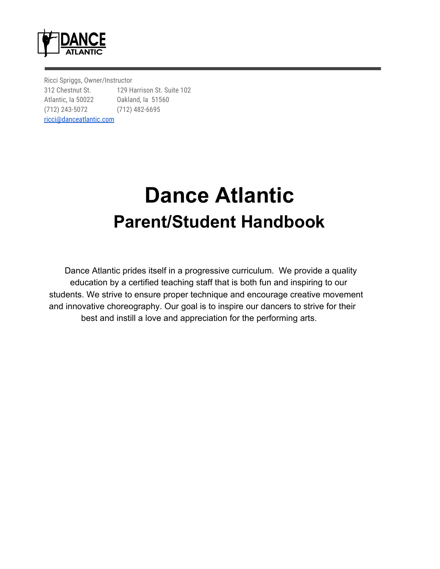

Ricci Spriggs, Owner/Instructor 312 Chestnut St. 129 Harrison St. Suite 102 Atlantic, Ia 50022 Oakland, Ia 51560 (712) 243-5072 (712) 482-6695 [ricci@danceatlantic.com](mailto:ricci@danceatlantic.com)

# **Dance Atlantic Parent/Student Handbook**

 Dance Atlantic prides itself in a progressive curriculum. We provide a quality education by a certified teaching staff that is both fun and inspiring to our students. We strive to ensure proper technique and encourage creative movement and innovative choreography. Our goal is to inspire our dancers to strive for their best and instill a love and appreciation for the performing arts.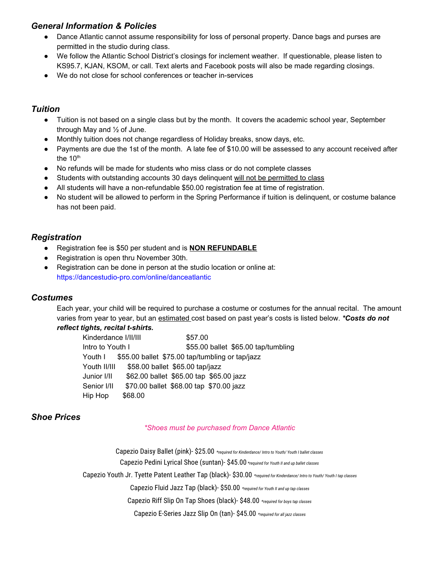## *General Information & Policies*

- Dance Atlantic cannot assume responsibility for loss of personal property. Dance bags and purses are permitted in the studio during class.
- We follow the Atlantic School District's closings for inclement weather. If questionable, please listen to KS95.7, KJAN, KSOM, or call. Text alerts and Facebook posts will also be made regarding closings.
- We do not close for school conferences or teacher in-services

## *Tuition*

- Tuition is not based on a single class but by the month. It covers the academic school year, September through May and ½ of June.
- Monthly tuition does not change regardless of Holiday breaks, snow days, etc.
- Payments are due the 1st of the month. A late fee of \$10.00 will be assessed to any account received after the 10<sup>th</sup>
- No refunds will be made for students who miss class or do not complete classes
- Students with outstanding accounts 30 days delinquent will not be permitted to class
- All students will have a non-refundable \$50.00 registration fee at time of registration.
- No student will be allowed to perform in the Spring Performance if tuition is delinquent, or costume balance has not been paid.

## *Registration*

- Registration fee is \$50 per student and is **NON REFUNDABLE**
- Registration is open thru November 30th.
- Registration can be done in person at the studio location or online at: https://dancestudio-pro.com/online/danceatlantic

### *Costumes*

Each year, your child will be required to purchase a costume or costumes for the annual recital. The amount varies from year to year, but an estimated cost based on past year's costs is listed below. *\*Costs do not reflect tights, recital t-shirts.*

| Kinderdance I/II/III | \$57.00                                         |
|----------------------|-------------------------------------------------|
| Intro to Youth I     | \$55.00 ballet \$65.00 tap/tumbling             |
| Youth I              | \$55.00 ballet \$75.00 tap/tumbling or tap/jazz |
| Youth II/III         | \$58.00 ballet \$65.00 tap/jazz                 |
| Junior I/II          | \$62.00 ballet \$65.00 tap \$65.00 jazz         |
| Senior I/II          | \$70.00 ballet \$68.00 tap \$70.00 jazz         |
| Hip Hop              | \$68.00                                         |

## *Shoe Prices*

#### *\*Shoes must be purchased from Dance Atlantic*

Capezio Daisy Ballet (pink)- \$25.00 *\*required for Kinderdance/ Intro to Youth/ Youth I ballet classes* Capezio Pedini Lyrical Shoe (suntan)- \$45.00 *\*required for Youth II and up ballet classes* Capezio Youth Jr. Tyette Patent Leather Tap (black)- \$30.00 *\*required for Kinderdance/ Intro to Youth/ Youth I tap classes* Capezio Fluid Jazz Tap (black)- \$50.00 *\*required for Youth II and up tap classes* Capezio Riff Slip On Tap Shoes (black)- \$48.00 *\*required for boys tap classes* Capezio E-Series Jazz Slip On (tan)- \$45.00 *\*required for all jazz classes*